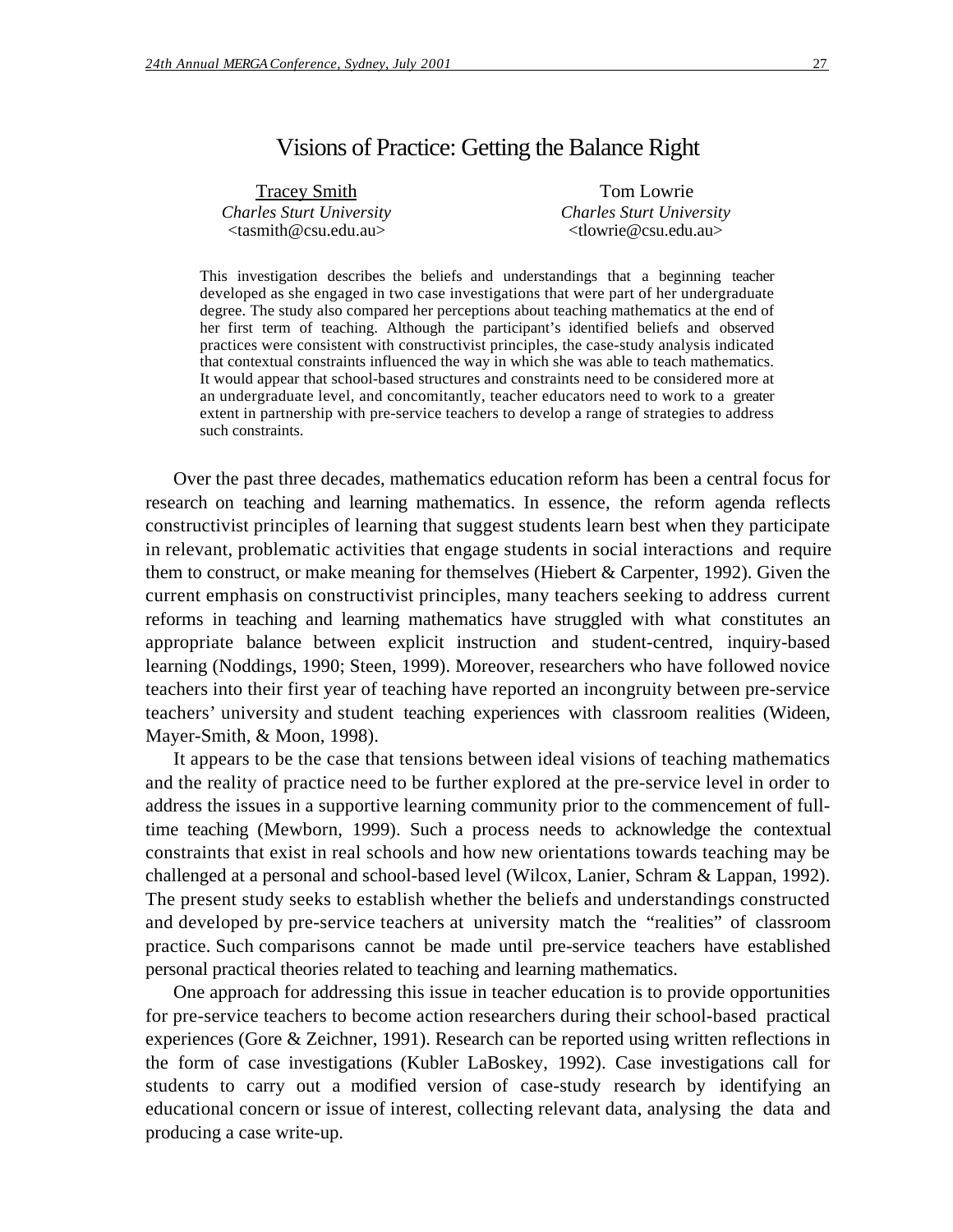# Visions of Practice: Getting the Balance Right

| <b>Tracey Smith</b>             | Tom Lowrie                      |
|---------------------------------|---------------------------------|
| <b>Charles Sturt University</b> | <b>Charles Sturt University</b> |
| $<$ tasmith@csu.edu.au>         | $\lt$ tlowrie@csu.edu.au>       |

This investigation describes the beliefs and understandings that a beginning teacher developed as she engaged in two case investigations that were part of her undergraduate degree. The study also compared her perceptions about teaching mathematics at the end of her first term of teaching. Although the participant's identified beliefs and observed practices were consistent with constructivist principles, the case-study analysis indicated that contextual constraints influenced the way in which she was able to teach mathematics. It would appear that school-based structures and constraints need to be considered more at an undergraduate level, and concomitantly, teacher educators need to work to a greater extent in partnership with pre-service teachers to develop a range of strategies to address such constraints.

Over the past three decades, mathematics education reform has been a central focus for research on teaching and learning mathematics. In essence, the reform agenda reflects constructivist principles of learning that suggest students learn best when they participate in relevant, problematic activities that engage students in social interactions and require them to construct, or make meaning for themselves (Hiebert  $&$  Carpenter, 1992). Given the current emphasis on constructivist principles, many teachers seeking to address current reforms in teaching and learning mathematics have struggled with what constitutes an appropriate balance between explicit instruction and student-centred, inquiry-based learning (Noddings, 1990; Steen, 1999). Moreover, researchers who have followed novice teachers into their first year of teaching have reported an incongruity between pre-service teachers' university and student teaching experiences with classroom realities (Wideen, Mayer-Smith, & Moon, 1998).

It appears to be the case that tensions between ideal visions of teaching mathematics and the reality of practice need to be further explored at the pre-service level in order to address the issues in a supportive learning community prior to the commencement of fulltime teaching (Mewborn, 1999). Such a process needs to acknowledge the contextual constraints that exist in real schools and how new orientations towards teaching may be challenged at a personal and school-based level (Wilcox, Lanier, Schram & Lappan, 1992). The present study seeks to establish whether the beliefs and understandings constructed and developed by pre-service teachers at university match the "realities" of classroom practice. Such comparisons cannot be made until pre-service teachers have established personal practical theories related to teaching and learning mathematics.

One approach for addressing this issue in teacher education is to provide opportunities for pre-service teachers to become action researchers during their school-based practical experiences (Gore & Zeichner, 1991). Research can be reported using written reflections in the form of case investigations (Kubler LaBoskey, 1992). Case investigations call for students to carry out a modified version of case-study research by identifying an educational concern or issue of interest, collecting relevant data, analysing the data and producing a case write-up.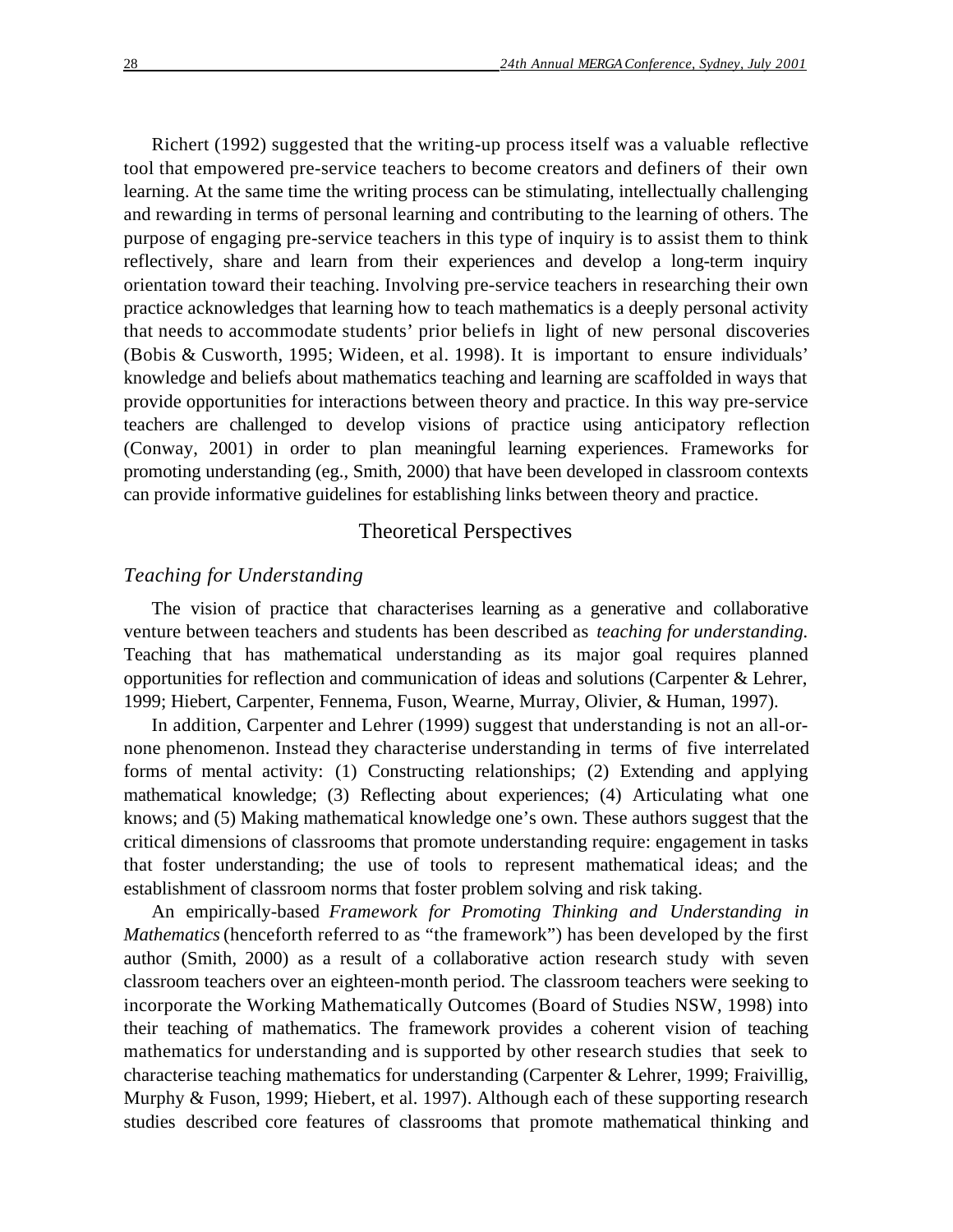Richert (1992) suggested that the writing-up process itself was a valuable reflective tool that empowered pre-service teachers to become creators and definers of their own learning. At the same time the writing process can be stimulating, intellectually challenging and rewarding in terms of personal learning and contributing to the learning of others. The purpose of engaging pre-service teachers in this type of inquiry is to assist them to think reflectively, share and learn from their experiences and develop a long-term inquiry orientation toward their teaching. Involving pre-service teachers in researching their own practice acknowledges that learning how to teach mathematics is a deeply personal activity that needs to accommodate students' prior beliefs in light of new personal discoveries (Bobis & Cusworth, 1995; Wideen, et al. 1998). It is important to ensure individuals' knowledge and beliefs about mathematics teaching and learning are scaffolded in ways that provide opportunities for interactions between theory and practice. In this way pre-service teachers are challenged to develop visions of practice using anticipatory reflection (Conway, 2001) in order to plan meaningful learning experiences. Frameworks for promoting understanding (eg., Smith, 2000) that have been developed in classroom contexts can provide informative guidelines for establishing links between theory and practice.

### Theoretical Perspectives

### *Teaching for Understanding*

The vision of practice that characterises learning as a generative and collaborative venture between teachers and students has been described as *teaching for understanding.* Teaching that has mathematical understanding as its major goal requires planned opportunities for reflection and communication of ideas and solutions (Carpenter & Lehrer, 1999; Hiebert, Carpenter, Fennema, Fuson, Wearne, Murray, Olivier, & Human, 1997).

In addition, Carpenter and Lehrer (1999) suggest that understanding is not an all-ornone phenomenon. Instead they characterise understanding in terms of five interrelated forms of mental activity: (1) Constructing relationships; (2) Extending and applying mathematical knowledge; (3) Reflecting about experiences; (4) Articulating what one knows; and (5) Making mathematical knowledge one's own. These authors suggest that the critical dimensions of classrooms that promote understanding require: engagement in tasks that foster understanding; the use of tools to represent mathematical ideas; and the establishment of classroom norms that foster problem solving and risk taking.

An empirically-based *Framework for Promoting Thinking and Understanding in Mathematics* (henceforth referred to as "the framework") has been developed by the first author (Smith, 2000) as a result of a collaborative action research study with seven classroom teachers over an eighteen-month period. The classroom teachers were seeking to incorporate the Working Mathematically Outcomes (Board of Studies NSW, 1998) into their teaching of mathematics. The framework provides a coherent vision of teaching mathematics for understanding and is supported by other research studies that seek to characterise teaching mathematics for understanding (Carpenter & Lehrer, 1999; Fraivillig, Murphy & Fuson, 1999; Hiebert, et al. 1997). Although each of these supporting research studies described core features of classrooms that promote mathematical thinking and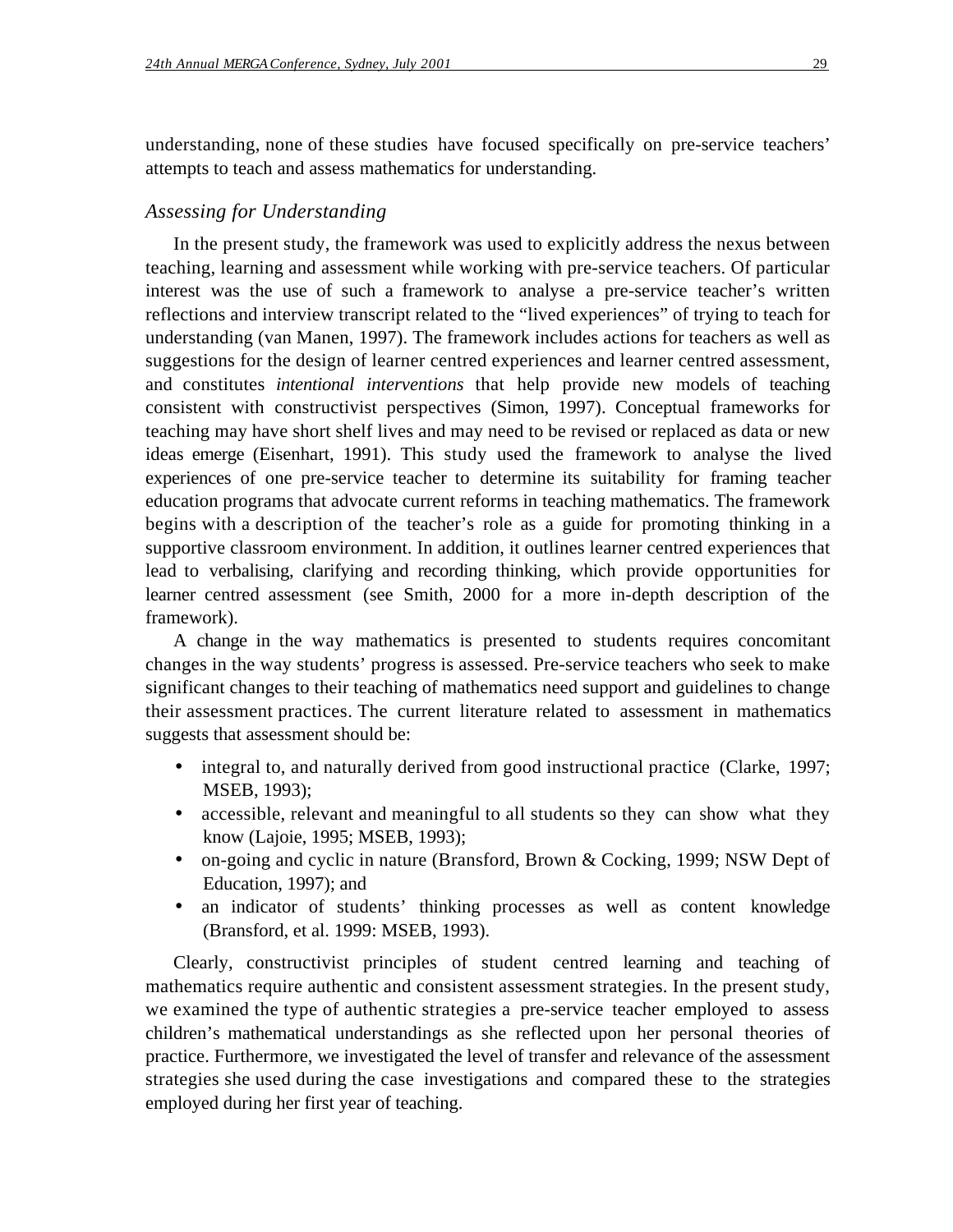understanding, none of these studies have focused specifically on pre-service teachers' attempts to teach and assess mathematics for understanding.

### *Assessing for Understanding*

In the present study, the framework was used to explicitly address the nexus between teaching, learning and assessment while working with pre-service teachers. Of particular interest was the use of such a framework to analyse a pre-service teacher's written reflections and interview transcript related to the "lived experiences" of trying to teach for understanding (van Manen, 1997). The framework includes actions for teachers as well as suggestions for the design of learner centred experiences and learner centred assessment, and constitutes *intentional interventions* that help provide new models of teaching consistent with constructivist perspectives (Simon, 1997). Conceptual frameworks for teaching may have short shelf lives and may need to be revised or replaced as data or new ideas emerge (Eisenhart, 1991). This study used the framework to analyse the lived experiences of one pre-service teacher to determine its suitability for framing teacher education programs that advocate current reforms in teaching mathematics. The framework begins with a description of the teacher's role as a guide for promoting thinking in a supportive classroom environment. In addition, it outlines learner centred experiences that lead to verbalising, clarifying and recording thinking, which provide opportunities for learner centred assessment (see Smith, 2000 for a more in-depth description of the framework).

A change in the way mathematics is presented to students requires concomitant changes in the way students' progress is assessed. Pre-service teachers who seek to make significant changes to their teaching of mathematics need support and guidelines to change their assessment practices. The current literature related to assessment in mathematics suggests that assessment should be:

- integral to, and naturally derived from good instructional practice (Clarke, 1997; MSEB, 1993);
- accessible, relevant and meaningful to all students so they can show what they know (Lajoie, 1995; MSEB, 1993);
- on-going and cyclic in nature (Bransford, Brown & Cocking, 1999; NSW Dept of Education, 1997); and
- an indicator of students' thinking processes as well as content knowledge (Bransford, et al. 1999: MSEB, 1993).

Clearly, constructivist principles of student centred learning and teaching of mathematics require authentic and consistent assessment strategies. In the present study, we examined the type of authentic strategies a pre-service teacher employed to assess children's mathematical understandings as she reflected upon her personal theories of practice. Furthermore, we investigated the level of transfer and relevance of the assessment strategies she used during the case investigations and compared these to the strategies employed during her first year of teaching.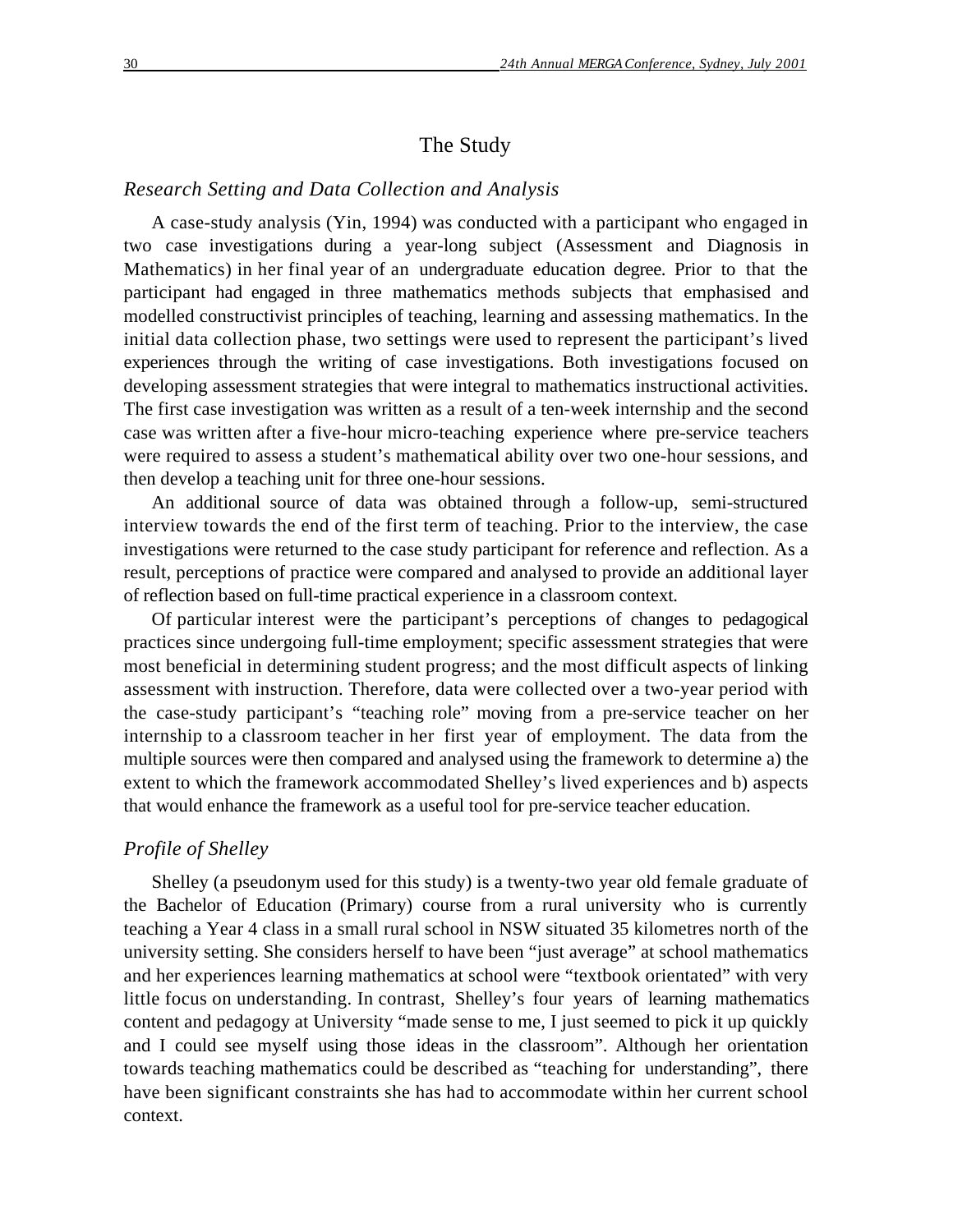# The Study

#### *Research Setting and Data Collection and Analysis*

A case-study analysis (Yin, 1994) was conducted with a participant who engaged in two case investigations during a year-long subject (Assessment and Diagnosis in Mathematics) in her final year of an undergraduate education degree. Prior to that the participant had engaged in three mathematics methods subjects that emphasised and modelled constructivist principles of teaching, learning and assessing mathematics. In the initial data collection phase, two settings were used to represent the participant's lived experiences through the writing of case investigations. Both investigations focused on developing assessment strategies that were integral to mathematics instructional activities. The first case investigation was written as a result of a ten-week internship and the second case was written after a five-hour micro-teaching experience where pre-service teachers were required to assess a student's mathematical ability over two one-hour sessions, and then develop a teaching unit for three one-hour sessions.

An additional source of data was obtained through a follow-up, semi-structured interview towards the end of the first term of teaching. Prior to the interview, the case investigations were returned to the case study participant for reference and reflection. As a result, perceptions of practice were compared and analysed to provide an additional layer of reflection based on full-time practical experience in a classroom context.

Of particular interest were the participant's perceptions of changes to pedagogical practices since undergoing full-time employment; specific assessment strategies that were most beneficial in determining student progress; and the most difficult aspects of linking assessment with instruction. Therefore, data were collected over a two-year period with the case-study participant's "teaching role" moving from a pre-service teacher on her internship to a classroom teacher in her first year of employment. The data from the multiple sources were then compared and analysed using the framework to determine a) the extent to which the framework accommodated Shelley's lived experiences and b) aspects that would enhance the framework as a useful tool for pre-service teacher education.

#### *Profile of Shelley*

Shelley (a pseudonym used for this study) is a twenty-two year old female graduate of the Bachelor of Education (Primary) course from a rural university who is currently teaching a Year 4 class in a small rural school in NSW situated 35 kilometres north of the university setting. She considers herself to have been "just average" at school mathematics and her experiences learning mathematics at school were "textbook orientated" with very little focus on understanding. In contrast, Shelley's four years of learning mathematics content and pedagogy at University "made sense to me, I just seemed to pick it up quickly and I could see myself using those ideas in the classroom". Although her orientation towards teaching mathematics could be described as "teaching for understanding", there have been significant constraints she has had to accommodate within her current school context.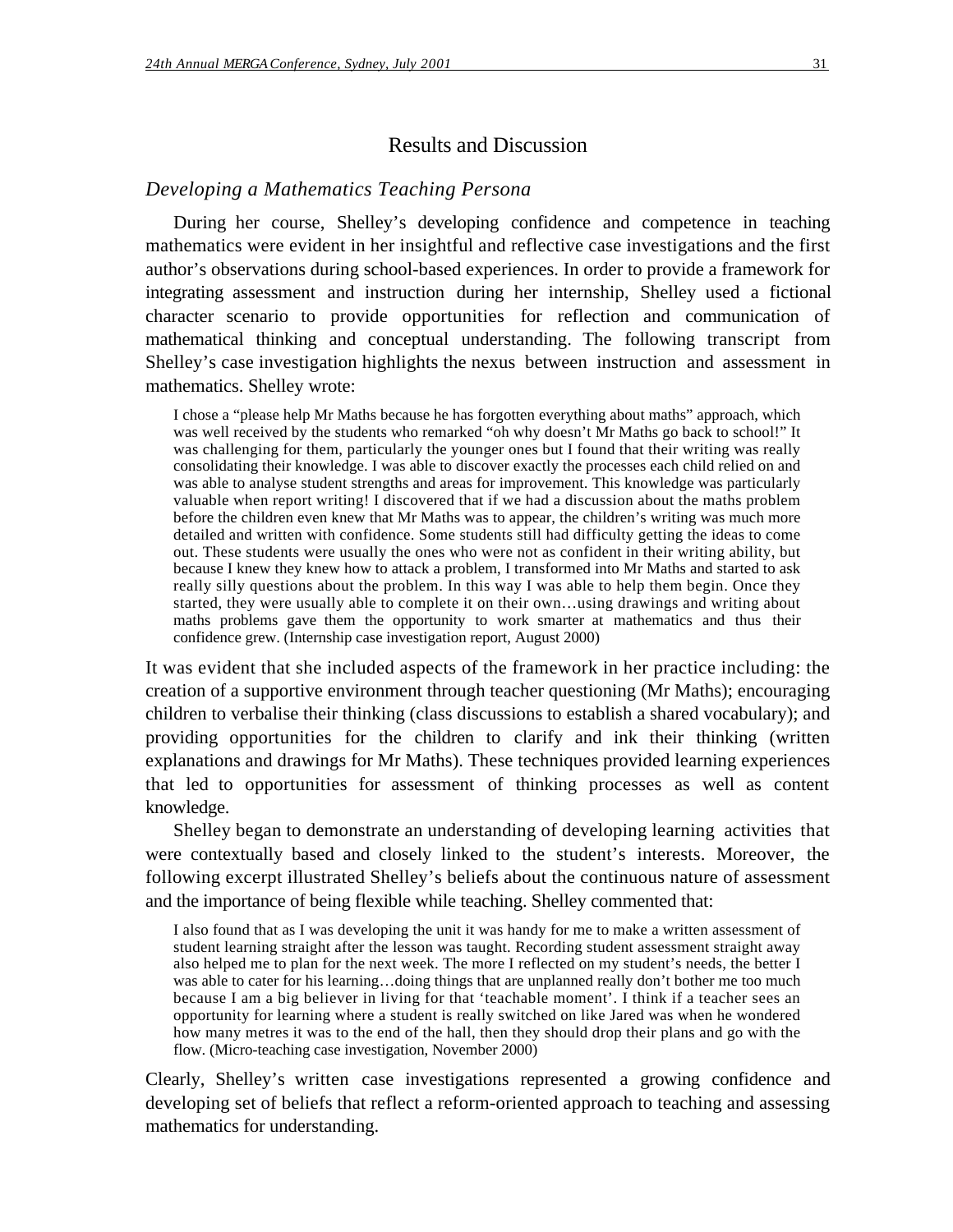# Results and Discussion

#### *Developing a Mathematics Teaching Persona*

During her course, Shelley's developing confidence and competence in teaching mathematics were evident in her insightful and reflective case investigations and the first author's observations during school-based experiences. In order to provide a framework for integrating assessment and instruction during her internship, Shelley used a fictional character scenario to provide opportunities for reflection and communication of mathematical thinking and conceptual understanding. The following transcript from Shelley's case investigation highlights the nexus between instruction and assessment in mathematics. Shelley wrote:

I chose a "please help Mr Maths because he has forgotten everything about maths" approach, which was well received by the students who remarked "oh why doesn't Mr Maths go back to school!" It was challenging for them, particularly the younger ones but I found that their writing was really consolidating their knowledge. I was able to discover exactly the processes each child relied on and was able to analyse student strengths and areas for improvement. This knowledge was particularly valuable when report writing! I discovered that if we had a discussion about the maths problem before the children even knew that Mr Maths was to appear, the children's writing was much more detailed and written with confidence. Some students still had difficulty getting the ideas to come out. These students were usually the ones who were not as confident in their writing ability, but because I knew they knew how to attack a problem, I transformed into Mr Maths and started to ask really silly questions about the problem. In this way I was able to help them begin. Once they started, they were usually able to complete it on their own…using drawings and writing about maths problems gave them the opportunity to work smarter at mathematics and thus their confidence grew. (Internship case investigation report, August 2000)

It was evident that she included aspects of the framework in her practice including: the creation of a supportive environment through teacher questioning (Mr Maths); encouraging children to verbalise their thinking (class discussions to establish a shared vocabulary); and providing opportunities for the children to clarify and ink their thinking (written explanations and drawings for Mr Maths). These techniques provided learning experiences that led to opportunities for assessment of thinking processes as well as content knowledge.

Shelley began to demonstrate an understanding of developing learning activities that were contextually based and closely linked to the student's interests. Moreover, the following excerpt illustrated Shelley's beliefs about the continuous nature of assessment and the importance of being flexible while teaching. Shelley commented that:

I also found that as I was developing the unit it was handy for me to make a written assessment of student learning straight after the lesson was taught. Recording student assessment straight away also helped me to plan for the next week. The more I reflected on my student's needs, the better I was able to cater for his learning…doing things that are unplanned really don't bother me too much because I am a big believer in living for that 'teachable moment'. I think if a teacher sees an opportunity for learning where a student is really switched on like Jared was when he wondered how many metres it was to the end of the hall, then they should drop their plans and go with the flow. (Micro-teaching case investigation, November 2000)

Clearly, Shelley's written case investigations represented a growing confidence and developing set of beliefs that reflect a reform-oriented approach to teaching and assessing mathematics for understanding.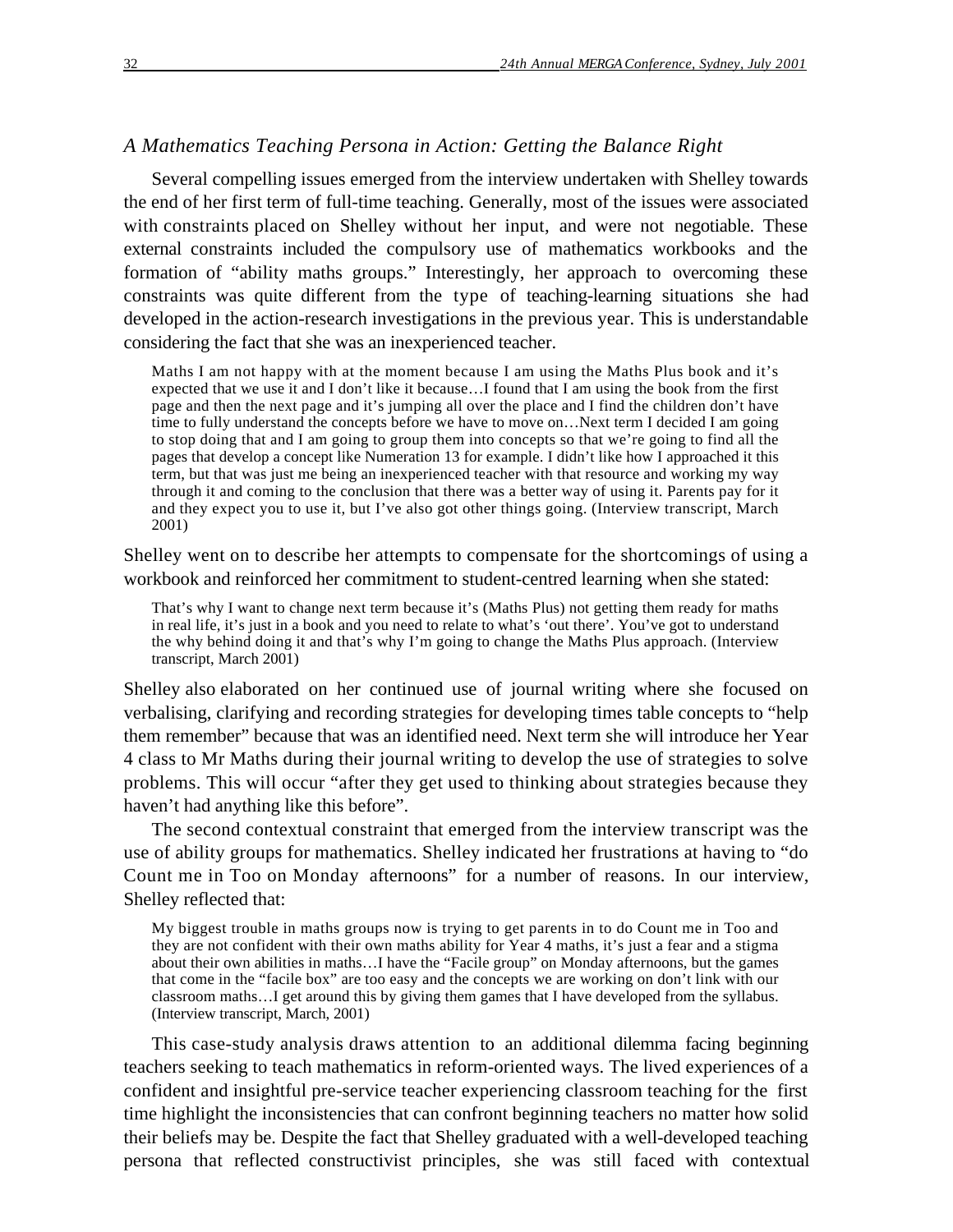#### *A Mathematics Teaching Persona in Action: Getting the Balance Right*

Several compelling issues emerged from the interview undertaken with Shelley towards the end of her first term of full-time teaching. Generally, most of the issues were associated with constraints placed on Shelley without her input, and were not negotiable. These external constraints included the compulsory use of mathematics workbooks and the formation of "ability maths groups." Interestingly, her approach to overcoming these constraints was quite different from the type of teaching-learning situations she had developed in the action-research investigations in the previous year. This is understandable considering the fact that she was an inexperienced teacher.

Maths I am not happy with at the moment because I am using the Maths Plus book and it's expected that we use it and I don't like it because…I found that I am using the book from the first page and then the next page and it's jumping all over the place and I find the children don't have time to fully understand the concepts before we have to move on…Next term I decided I am going to stop doing that and I am going to group them into concepts so that we're going to find all the pages that develop a concept like Numeration 13 for example. I didn't like how I approached it this term, but that was just me being an inexperienced teacher with that resource and working my way through it and coming to the conclusion that there was a better way of using it. Parents pay for it and they expect you to use it, but I've also got other things going. (Interview transcript, March 2001)

Shelley went on to describe her attempts to compensate for the shortcomings of using a workbook and reinforced her commitment to student-centred learning when she stated:

That's why I want to change next term because it's (Maths Plus) not getting them ready for maths in real life, it's just in a book and you need to relate to what's 'out there'. You've got to understand the why behind doing it and that's why I'm going to change the Maths Plus approach. (Interview transcript, March 2001)

Shelley also elaborated on her continued use of journal writing where she focused on verbalising, clarifying and recording strategies for developing times table concepts to "help them remember" because that was an identified need. Next term she will introduce her Year 4 class to Mr Maths during their journal writing to develop the use of strategies to solve problems. This will occur "after they get used to thinking about strategies because they haven't had anything like this before".

The second contextual constraint that emerged from the interview transcript was the use of ability groups for mathematics. Shelley indicated her frustrations at having to "do Count me in Too on Monday afternoons" for a number of reasons. In our interview, Shelley reflected that:

My biggest trouble in maths groups now is trying to get parents in to do Count me in Too and they are not confident with their own maths ability for Year 4 maths, it's just a fear and a stigma about their own abilities in maths…I have the "Facile group" on Monday afternoons, but the games that come in the "facile box" are too easy and the concepts we are working on don't link with our classroom maths…I get around this by giving them games that I have developed from the syllabus. (Interview transcript, March, 2001)

This case-study analysis draws attention to an additional dilemma facing beginning teachers seeking to teach mathematics in reform-oriented ways. The lived experiences of a confident and insightful pre-service teacher experiencing classroom teaching for the first time highlight the inconsistencies that can confront beginning teachers no matter how solid their beliefs may be. Despite the fact that Shelley graduated with a well-developed teaching persona that reflected constructivist principles, she was still faced with contextual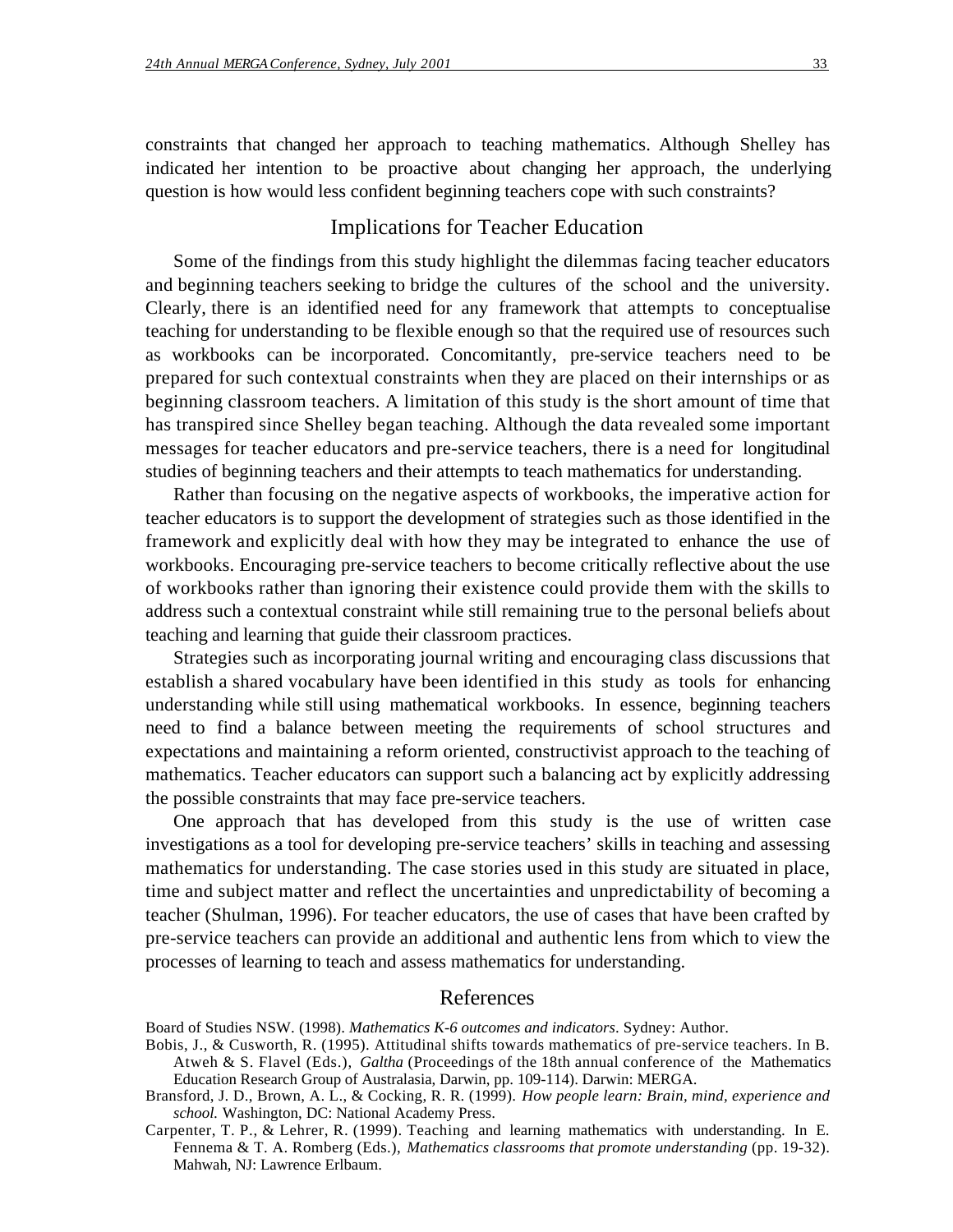constraints that changed her approach to teaching mathematics. Although Shelley has indicated her intention to be proactive about changing her approach, the underlying question is how would less confident beginning teachers cope with such constraints?

### Implications for Teacher Education

Some of the findings from this study highlight the dilemmas facing teacher educators and beginning teachers seeking to bridge the cultures of the school and the university. Clearly, there is an identified need for any framework that attempts to conceptualise teaching for understanding to be flexible enough so that the required use of resources such as workbooks can be incorporated. Concomitantly, pre-service teachers need to be prepared for such contextual constraints when they are placed on their internships or as beginning classroom teachers. A limitation of this study is the short amount of time that has transpired since Shelley began teaching. Although the data revealed some important messages for teacher educators and pre-service teachers, there is a need for longitudinal studies of beginning teachers and their attempts to teach mathematics for understanding.

Rather than focusing on the negative aspects of workbooks, the imperative action for teacher educators is to support the development of strategies such as those identified in the framework and explicitly deal with how they may be integrated to enhance the use of workbooks. Encouraging pre-service teachers to become critically reflective about the use of workbooks rather than ignoring their existence could provide them with the skills to address such a contextual constraint while still remaining true to the personal beliefs about teaching and learning that guide their classroom practices.

Strategies such as incorporating journal writing and encouraging class discussions that establish a shared vocabulary have been identified in this study as tools for enhancing understanding while still using mathematical workbooks. In essence, beginning teachers need to find a balance between meeting the requirements of school structures and expectations and maintaining a reform oriented, constructivist approach to the teaching of mathematics. Teacher educators can support such a balancing act by explicitly addressing the possible constraints that may face pre-service teachers.

One approach that has developed from this study is the use of written case investigations as a tool for developing pre-service teachers' skills in teaching and assessing mathematics for understanding. The case stories used in this study are situated in place, time and subject matter and reflect the uncertainties and unpredictability of becoming a teacher (Shulman, 1996). For teacher educators, the use of cases that have been crafted by pre-service teachers can provide an additional and authentic lens from which to view the processes of learning to teach and assess mathematics for understanding.

# References

Board of Studies NSW. (1998). *Mathematics K-6 outcomes and indicators*. Sydney: Author.

- Bobis, J., & Cusworth, R. (1995). Attitudinal shifts towards mathematics of pre-service teachers. In B. Atweh & S. Flavel (Eds.), *Galtha* (Proceedings of the 18th annual conference of the Mathematics Education Research Group of Australasia, Darwin, pp. 109-114). Darwin: MERGA.
- Bransford, J. D., Brown, A. L., & Cocking, R. R. (1999). *How people learn: Brain, mind, experience and school.* Washington, DC: National Academy Press.
- Carpenter, T. P., & Lehrer, R. (1999). Teaching and learning mathematics with understanding. In E. Fennema & T. A. Romberg (Eds.), *Mathematics classrooms that promote understanding* (pp. 19-32). Mahwah, NJ: Lawrence Erlbaum.